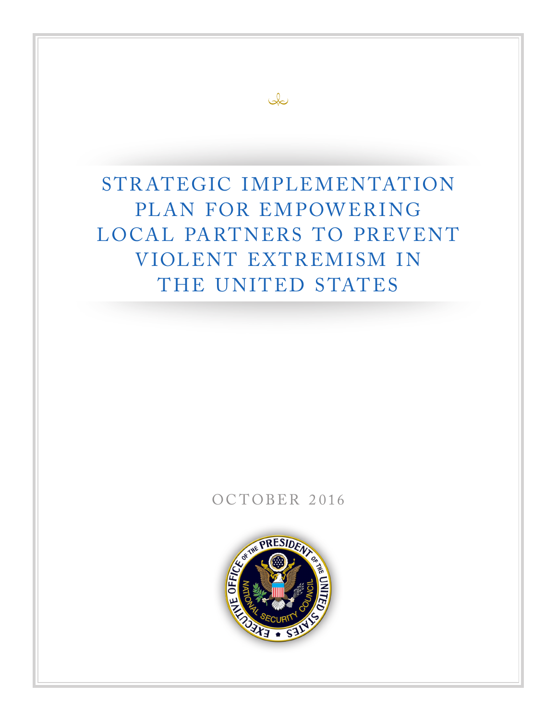$\infty$ 

## OCTOBER 2016

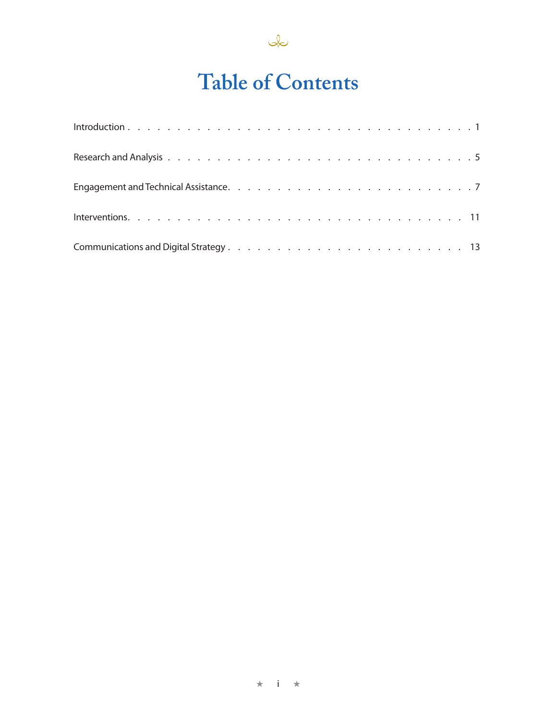

# **Table of Contents**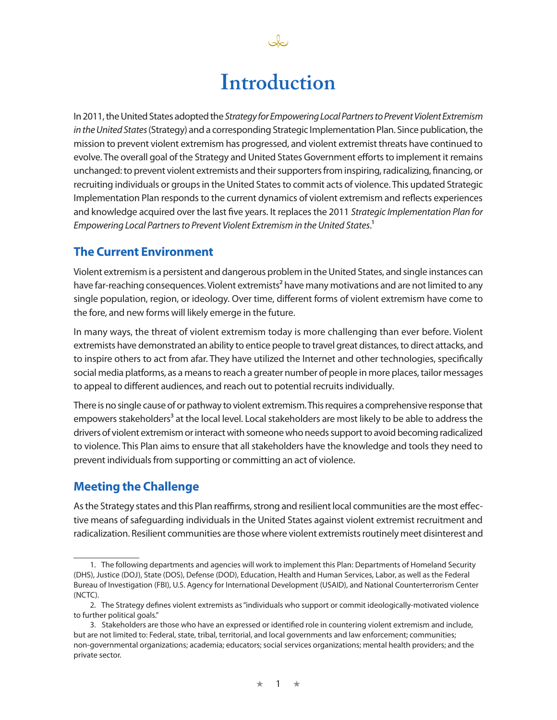## **Introduction**

In 2011, the United States adopted the *Strategy for Empowering Local Partners to Prevent Violent Extremism in the United States* (Strategy) and a corresponding Strategic Implementation Plan. Since publication, the mission to prevent violent extremism has progressed, and violent extremist threats have continued to evolve. The overall goal of the Strategy and United States Government efforts to implement it remains unchanged: to prevent violent extremists and their supporters from inspiring, radicalizing, financing, or recruiting individuals or groups in the United States to commit acts of violence. This updated Strategic Implementation Plan responds to the current dynamics of violent extremism and reflects experiences and knowledge acquired over the last five years. It replaces the 2011 *Strategic Implementation Plan for Empowering Local Partners to Prevent Violent Extremism in the United States*.1

## **The Current Environment**

Violent extremism is a persistent and dangerous problem in the United States, and single instances can have far-reaching consequences. Violent extremists<sup>2</sup> have many motivations and are not limited to any single population, region, or ideology. Over time, different forms of violent extremism have come to the fore, and new forms will likely emerge in the future.

In many ways, the threat of violent extremism today is more challenging than ever before. Violent extremists have demonstrated an ability to entice people to travel great distances, to direct attacks, and to inspire others to act from afar. They have utilized the Internet and other technologies, specifically social media platforms, as a means to reach a greater number of people in more places, tailor messages to appeal to different audiences, and reach out to potential recruits individually.

There is no single cause of or pathway to violent extremism. This requires a comprehensive response that empowers stakeholders<sup>3</sup> at the local level. Local stakeholders are most likely to be able to address the drivers of violent extremism or interact with someone who needs support to avoid becoming radicalized to violence. This Plan aims to ensure that all stakeholders have the knowledge and tools they need to prevent individuals from supporting or committing an act of violence.

## **Meeting the Challenge**

As the Strategy states and this Plan reaffirms, strong and resilient local communities are the most effective means of safeguarding individuals in the United States against violent extremist recruitment and radicalization. Resilient communities are those where violent extremists routinely meet disinterest and

<sup>1.</sup> The following departments and agencies will work to implement this Plan: Departments of Homeland Security (DHS), Justice (DOJ), State (DOS), Defense (DOD), Education, Health and Human Services, Labor, as well as the Federal Bureau of Investigation (FBI), U.S. Agency for International Development (USAID), and National Counterterrorism Center (NCTC).

<sup>2.</sup> The Strategy defines violent extremists as "individuals who support or commit ideologically-motivated violence to further political goals."

<sup>3.</sup> Stakeholders are those who have an expressed or identified role in countering violent extremism and include, but are not limited to: Federal, state, tribal, territorial, and local governments and law enforcement; communities; non-governmental organizations; academia; educators; social services organizations; mental health providers; and the private sector.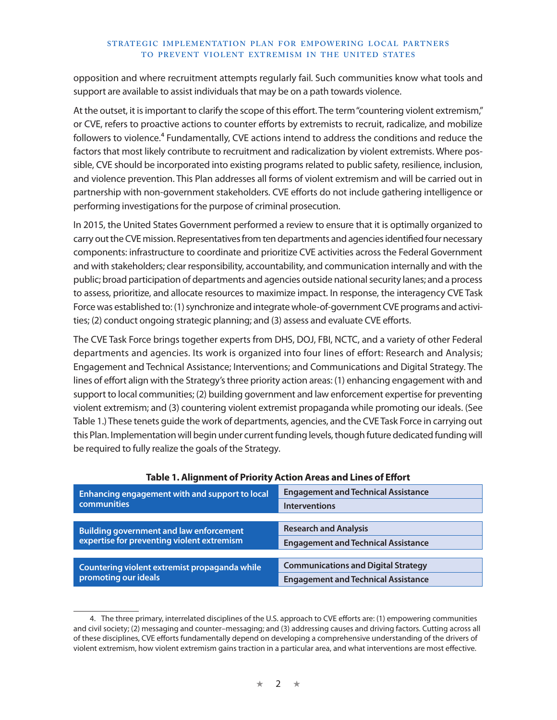opposition and where recruitment attempts regularly fail. Such communities know what tools and support are available to assist individuals that may be on a path towards violence.

At the outset, it is important to clarify the scope of this effort. The term "countering violent extremism," or CVE, refers to proactive actions to counter efforts by extremists to recruit, radicalize, and mobilize followers to violence.<sup>4</sup> Fundamentally, CVE actions intend to address the conditions and reduce the factors that most likely contribute to recruitment and radicalization by violent extremists. Where possible, CVE should be incorporated into existing programs related to public safety, resilience, inclusion, and violence prevention. This Plan addresses all forms of violent extremism and will be carried out in partnership with non-government stakeholders. CVE efforts do not include gathering intelligence or performing investigations for the purpose of criminal prosecution.

In 2015, the United States Government performed a review to ensure that it is optimally organized to carry out the CVE mission. Representatives from ten departments and agencies identified four necessary components: infrastructure to coordinate and prioritize CVE activities across the Federal Government and with stakeholders; clear responsibility, accountability, and communication internally and with the public; broad participation of departments and agencies outside national security lanes; and a process to assess, prioritize, and allocate resources to maximize impact. In response, the interagency CVE Task Force was established to: (1) synchronize and integrate whole-of-government CVE programs and activities; (2) conduct ongoing strategic planning; and (3) assess and evaluate CVE efforts.

The CVE Task Force brings together experts from DHS, DOJ, FBI, NCTC, and a variety of other Federal departments and agencies. Its work is organized into four lines of effort: Research and Analysis; Engagement and Technical Assistance; Interventions; and Communications and Digital Strategy. The lines of effort align with the Strategy's three priority action areas: (1) enhancing engagement with and support to local communities; (2) building government and law enforcement expertise for preventing violent extremism; and (3) countering violent extremist propaganda while promoting our ideals. (See Table 1.) These tenets guide the work of departments, agencies, and the CVE Task Force in carrying out this Plan. Implementation will begin under current funding levels, though future dedicated funding will be required to fully realize the goals of the Strategy.

| Enhancing engagement with and support to local | <b>Engagement and Technical Assistance</b> |  |  |  |  |  |  |  |  |
|------------------------------------------------|--------------------------------------------|--|--|--|--|--|--|--|--|
| <b>communities</b>                             | <b>Interventions</b>                       |  |  |  |  |  |  |  |  |
|                                                |                                            |  |  |  |  |  |  |  |  |
| Building government and law enforcement        | <b>Research and Analysis</b>               |  |  |  |  |  |  |  |  |
| expertise for preventing violent extremism     | <b>Engagement and Technical Assistance</b> |  |  |  |  |  |  |  |  |
|                                                |                                            |  |  |  |  |  |  |  |  |
| Countering violent extremist propaganda while  | <b>Communications and Digital Strategy</b> |  |  |  |  |  |  |  |  |
| promoting our ideals                           | <b>Engagement and Technical Assistance</b> |  |  |  |  |  |  |  |  |

### **Table 1. Alignment of Priority Action Areas and Lines of Effort**

<sup>4.</sup> The three primary, interrelated disciplines of the U.S. approach to CVE efforts are: (1) empowering communities and civil society; (2) messaging and counter–messaging; and (3) addressing causes and driving factors. Cutting across all of these disciplines, CVE efforts fundamentally depend on developing a comprehensive understanding of the drivers of violent extremism, how violent extremism gains traction in a particular area, and what interventions are most effective.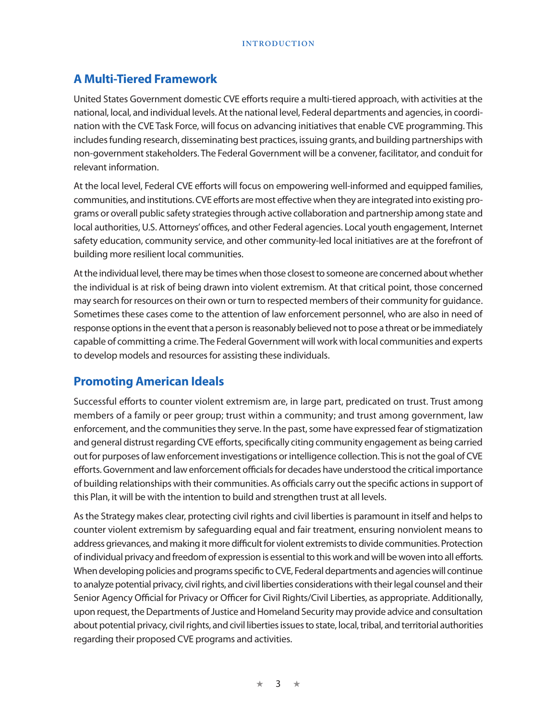#### **INTRODUCTION**

## **A Multi-Tiered Framework**

United States Government domestic CVE efforts require a multi-tiered approach, with activities at the national, local, and individual levels. At the national level, Federal departments and agencies, in coordination with the CVE Task Force, will focus on advancing initiatives that enable CVE programming. This includes funding research, disseminating best practices, issuing grants, and building partnerships with non-government stakeholders. The Federal Government will be a convener, facilitator, and conduit for relevant information.

At the local level, Federal CVE efforts will focus on empowering well-informed and equipped families, communities, and institutions. CVE efforts are most effective when they are integrated into existing programs or overall public safety strategies through active collaboration and partnership among state and local authorities, U.S. Attorneys' offices, and other Federal agencies. Local youth engagement, Internet safety education, community service, and other community-led local initiatives are at the forefront of building more resilient local communities.

At the individual level, there may be times when those closest to someone are concerned about whether the individual is at risk of being drawn into violent extremism. At that critical point, those concerned may search for resources on their own or turn to respected members of their community for guidance. Sometimes these cases come to the attention of law enforcement personnel, who are also in need of response options in the event that a person is reasonably believed not to pose a threat or be immediately capable of committing a crime. The Federal Government will work with local communities and experts to develop models and resources for assisting these individuals.

## **Promoting American Ideals**

Successful efforts to counter violent extremism are, in large part, predicated on trust. Trust among members of a family or peer group; trust within a community; and trust among government, law enforcement, and the communities they serve. In the past, some have expressed fear of stigmatization and general distrust regarding CVE efforts, specifically citing community engagement as being carried out for purposes of law enforcement investigations or intelligence collection. This is not the goal of CVE efforts. Government and law enforcement officials for decades have understood the critical importance of building relationships with their communities. As officials carry out the specific actions in support of this Plan, it will be with the intention to build and strengthen trust at all levels.

As the Strategy makes clear, protecting civil rights and civil liberties is paramount in itself and helps to counter violent extremism by safeguarding equal and fair treatment, ensuring nonviolent means to address grievances, and making it more difficult for violent extremists to divide communities. Protection of individual privacy and freedom of expression is essential to this work and will be woven into all efforts. When developing policies and programs specific to CVE, Federal departments and agencies will continue to analyze potential privacy, civil rights, and civil liberties considerations with their legal counsel and their Senior Agency Official for Privacy or Officer for Civil Rights/Civil Liberties, as appropriate. Additionally, upon request, the Departments of Justice and Homeland Security may provide advice and consultation about potential privacy, civil rights, and civil liberties issues to state, local, tribal, and territorial authorities regarding their proposed CVE programs and activities.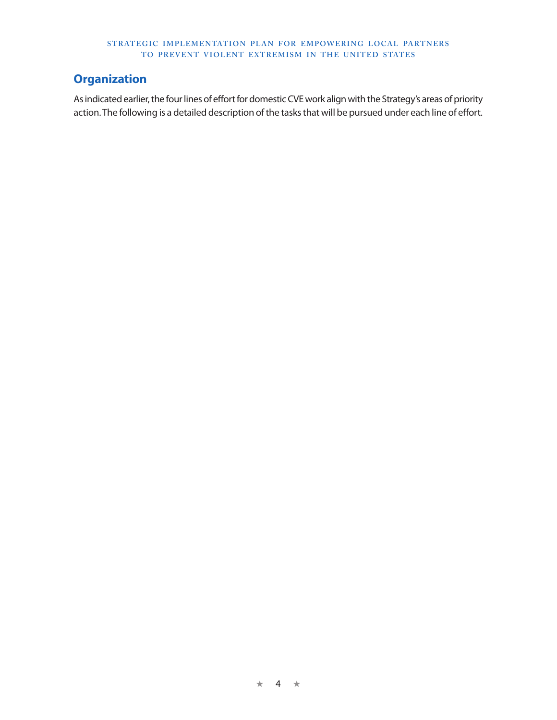## **Organization**

As indicated earlier, the four lines of effort for domestic CVE work align with the Strategy's areas of priority action. The following is a detailed description of the tasks that will be pursued under each line of effort.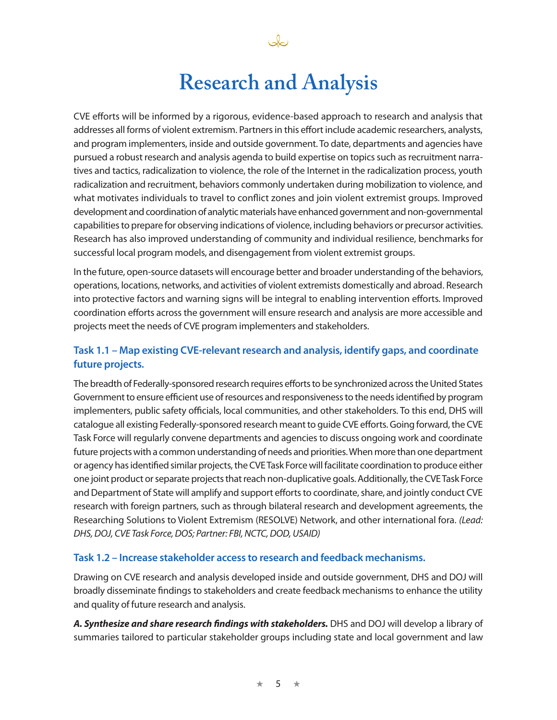

نكك

CVE efforts will be informed by a rigorous, evidence-based approach to research and analysis that addresses all forms of violent extremism. Partners in this effort include academic researchers, analysts, and program implementers, inside and outside government. To date, departments and agencies have pursued a robust research and analysis agenda to build expertise on topics such as recruitment narratives and tactics, radicalization to violence, the role of the Internet in the radicalization process, youth radicalization and recruitment, behaviors commonly undertaken during mobilization to violence, and what motivates individuals to travel to conflict zones and join violent extremist groups. Improved development and coordination of analytic materials have enhanced government and non-governmental capabilities to prepare for observing indications of violence, including behaviors or precursor activities. Research has also improved understanding of community and individual resilience, benchmarks for successful local program models, and disengagement from violent extremist groups.

In the future, open-source datasets will encourage better and broader understanding of the behaviors, operations, locations, networks, and activities of violent extremists domestically and abroad. Research into protective factors and warning signs will be integral to enabling intervention efforts. Improved coordination efforts across the government will ensure research and analysis are more accessible and projects meet the needs of CVE program implementers and stakeholders.

## **Task 1.1 – Map existing CVE-relevant research and analysis, identify gaps, and coordinate future projects.**

The breadth of Federally-sponsored research requires efforts to be synchronized across the United States Government to ensure efficient use of resources and responsiveness to the needs identified by program implementers, public safety officials, local communities, and other stakeholders. To this end, DHS will catalogue all existing Federally-sponsored research meant to guide CVE efforts. Going forward, the CVE Task Force will regularly convene departments and agencies to discuss ongoing work and coordinate future projects with a common understanding of needs and priorities. When more than one department or agency has identified similar projects, the CVE Task Force will facilitate coordination to produce either one joint product or separate projects that reach non-duplicative goals. Additionally, the CVE Task Force and Department of State will amplify and support efforts to coordinate, share, and jointly conduct CVE research with foreign partners, such as through bilateral research and development agreements, the Researching Solutions to Violent Extremism (RESOLVE) Network, and other international fora. *(Lead: DHS, DOJ, CVE Task Force, DOS; Partner: FBI, NCTC, DOD, USAID)*

### **Task 1.2 – Increase stakeholder access to research and feedback mechanisms.**

Drawing on CVE research and analysis developed inside and outside government, DHS and DOJ will broadly disseminate findings to stakeholders and create feedback mechanisms to enhance the utility and quality of future research and analysis.

*A. Synthesize and share research findings with stakeholders.* DHS and DOJ will develop a library of summaries tailored to particular stakeholder groups including state and local government and law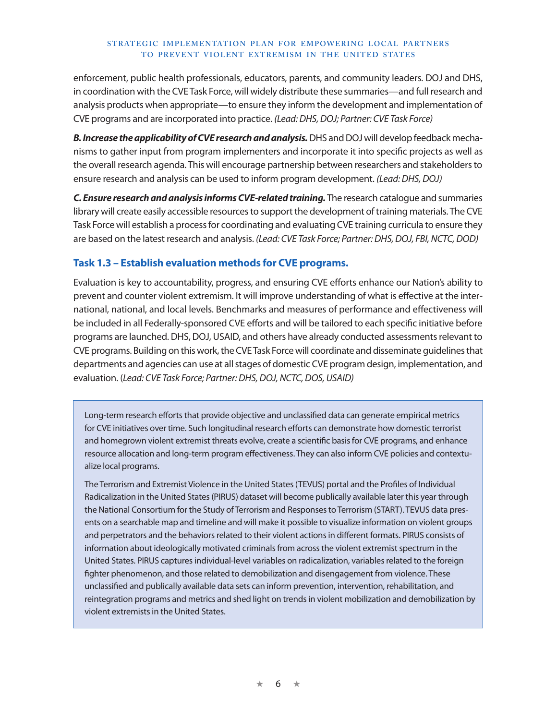enforcement, public health professionals, educators, parents, and community leaders. DOJ and DHS, in coordination with the CVE Task Force, will widely distribute these summaries—and full research and analysis products when appropriate—to ensure they inform the development and implementation of CVE programs and are incorporated into practice. *(Lead: DHS, DOJ; Partner: CVE Task Force)*

**B. Increase the applicability of CVE research and analysis.** DHS and DOJ will develop feedback mechanisms to gather input from program implementers and incorporate it into specific projects as well as the overall research agenda. This will encourage partnership between researchers and stakeholders to ensure research and analysis can be used to inform program development. *(Lead: DHS, DOJ)*

*C. Ensure research and analysis informs CVE-related training.* The research catalogue and summaries library will create easily accessible resources to support the development of training materials. The CVE Task Force will establish a process for coordinating and evaluating CVE training curricula to ensure they are based on the latest research and analysis. *(Lead: CVE Task Force; Partner: DHS, DOJ, FBI, NCTC, DOD)*

### **Task 1.3 – Establish evaluation methods for CVE programs.**

Evaluation is key to accountability, progress, and ensuring CVE efforts enhance our Nation's ability to prevent and counter violent extremism. It will improve understanding of what is effective at the international, national, and local levels. Benchmarks and measures of performance and effectiveness will be included in all Federally-sponsored CVE efforts and will be tailored to each specific initiative before programs are launched. DHS, DOJ, USAID, and others have already conducted assessments relevant to CVE programs. Building on this work, the CVE Task Force will coordinate and disseminate guidelines that departments and agencies can use at all stages of domestic CVE program design, implementation, and evaluation. (*Lead: CVE Task Force; Partner: DHS, DOJ, NCTC, DOS, USAID)*

Long-term research efforts that provide objective and unclassified data can generate empirical metrics for CVE initiatives over time. Such longitudinal research efforts can demonstrate how domestic terrorist and homegrown violent extremist threats evolve, create a scientific basis for CVE programs, and enhance resource allocation and long-term program effectiveness. They can also inform CVE policies and contextualize local programs.

The Terrorism and Extremist Violence in the United States (TEVUS) portal and the Profiles of Individual Radicalization in the United States (PIRUS) dataset will become publically available later this year through the National Consortium for the Study of Terrorism and Responses to Terrorism (START). TEVUS data presents on a searchable map and timeline and will make it possible to visualize information on violent groups and perpetrators and the behaviors related to their violent actions in different formats. PIRUS consists of information about ideologically motivated criminals from across the violent extremist spectrum in the United States. PIRUS captures individual-level variables on radicalization, variables related to the foreign fighter phenomenon, and those related to demobilization and disengagement from violence. These unclassified and publically available data sets can inform prevention, intervention, rehabilitation, and reintegration programs and metrics and shed light on trends in violent mobilization and demobilization by violent extremists in the United States.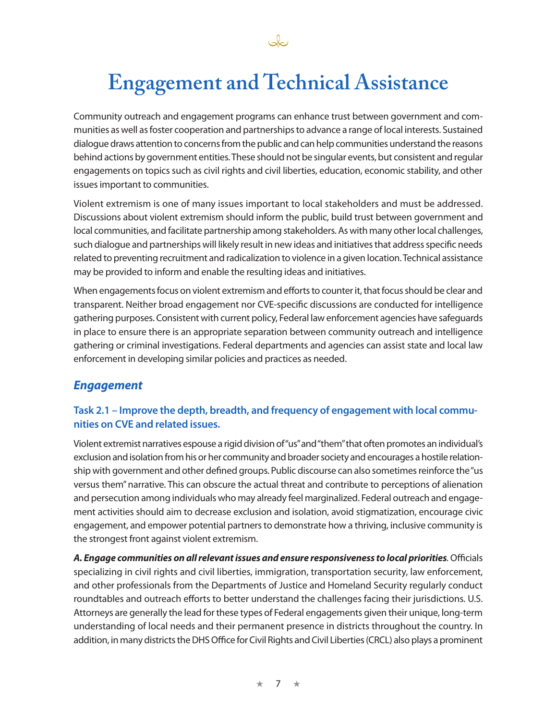

# **Engagement and Technical Assistance**

Community outreach and engagement programs can enhance trust between government and communities as well as foster cooperation and partnerships to advance a range of local interests. Sustained dialogue draws attention to concerns from the public and can help communities understand the reasons behind actions by government entities. These should not be singular events, but consistent and regular engagements on topics such as civil rights and civil liberties, education, economic stability, and other issues important to communities.

Violent extremism is one of many issues important to local stakeholders and must be addressed. Discussions about violent extremism should inform the public, build trust between government and local communities, and facilitate partnership among stakeholders. As with many other local challenges, such dialogue and partnerships will likely result in new ideas and initiatives that address specific needs related to preventing recruitment and radicalization to violence in a given location. Technical assistance may be provided to inform and enable the resulting ideas and initiatives.

When engagements focus on violent extremism and efforts to counter it, that focus should be clear and transparent. Neither broad engagement nor CVE-specific discussions are conducted for intelligence gathering purposes. Consistent with current policy, Federal law enforcement agencies have safeguards in place to ensure there is an appropriate separation between community outreach and intelligence gathering or criminal investigations. Federal departments and agencies can assist state and local law enforcement in developing similar policies and practices as needed.

## *Engagement*

## **Task 2.1 – Improve the depth, breadth, and frequency of engagement with local communities on CVE and related issues.**

Violent extremist narratives espouse a rigid division of "us" and "them" that often promotes an individual's exclusion and isolation from his or her community and broader society and encourages a hostile relationship with government and other defined groups. Public discourse can also sometimes reinforce the "us versus them" narrative. This can obscure the actual threat and contribute to perceptions of alienation and persecution among individuals who may already feel marginalized. Federal outreach and engagement activities should aim to decrease exclusion and isolation, avoid stigmatization, encourage civic engagement, and empower potential partners to demonstrate how a thriving, inclusive community is the strongest front against violent extremism.

*A. Engage communities on all relevant issues and ensure responsiveness to local priorities.* Officials specializing in civil rights and civil liberties, immigration, transportation security, law enforcement, and other professionals from the Departments of Justice and Homeland Security regularly conduct roundtables and outreach efforts to better understand the challenges facing their jurisdictions. U.S. Attorneys are generally the lead for these types of Federal engagements given their unique, long-term understanding of local needs and their permanent presence in districts throughout the country. In addition, in many districts the DHS Office for Civil Rights and Civil Liberties (CRCL) also plays a prominent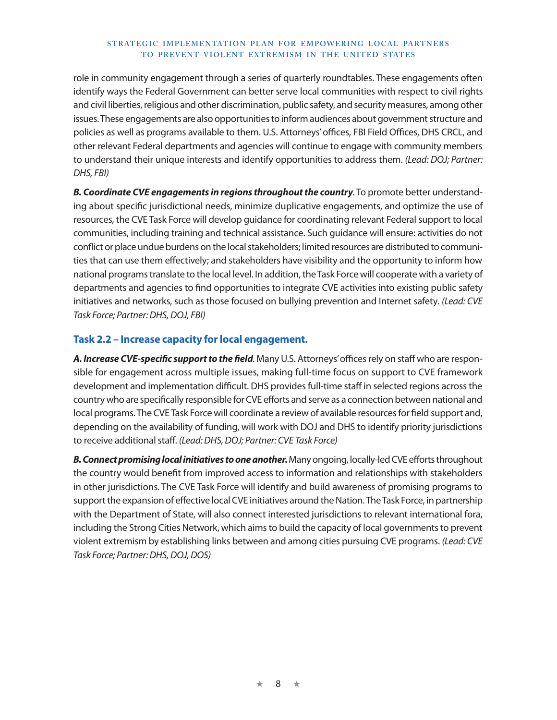role in community engagement through a series of quarterly roundtables. These engagements often identify ways the Federal Government can better serve local communities with respect to civil rights and civil liberties, religious and other discrimination, public safety, and security measures, among other issues. These engagements are also opportunities to inform audiences about government structure and policies as well as programs available to them. U.S. Attorneys' offices, FBI Field Offices, DHS CRCL, and other relevant Federal departments and agencies will continue to engage with community members to understand their unique interests and identify opportunities to address them. *(Lead: DOJ; Partner: DHS, FBI)*

*B. Coordinate CVE engagements in regions throughout the country.* To promote better understanding about specific jurisdictional needs, minimize duplicative engagements, and optimize the use of resources, the CVE Task Force will develop guidance for coordinating relevant Federal support to local communities, including training and technical assistance. Such guidance will ensure: activities do not conflict or place undue burdens on the local stakeholders; limited resources are distributed to communities that can use them effectively; and stakeholders have visibility and the opportunity to inform how national programs translate to the local level. In addition, the Task Force will cooperate with a variety of departments and agencies to find opportunities to integrate CVE activities into existing public safety initiatives and networks, such as those focused on bullying prevention and Internet safety. *(Lead: CVE Task Force; Partner: DHS, DOJ, FBI)*

### **Task 2.2 – Increase capacity for local engagement.**

*A. Increase CVE-specific support to the field.* Many U.S. Attorneys' offices rely on staff who are responsible for engagement across multiple issues, making full-time focus on support to CVE framework development and implementation difficult. DHS provides full-time staff in selected regions across the country who are specifically responsible for CVE efforts and serve as a connection between national and local programs. The CVE Task Force will coordinate a review of available resources for field support and, depending on the availability of funding, will work with DOJ and DHS to identify priority jurisdictions to receive additional staff. *(Lead: DHS, DOJ; Partner: CVE Task Force)*

*B. Connect promising local initiatives to one another.* Many ongoing, locally-led CVE efforts throughout the country would benefit from improved access to information and relationships with stakeholders in other jurisdictions. The CVE Task Force will identify and build awareness of promising programs to support the expansion of effective local CVE initiatives around the Nation. The Task Force, in partnership with the Department of State, will also connect interested jurisdictions to relevant international fora, including the Strong Cities Network, which aims to build the capacity of local governments to prevent violent extremism by establishing links between and among cities pursuing CVE programs. *(Lead: CVE Task Force; Partner: DHS, DOJ, DOS)*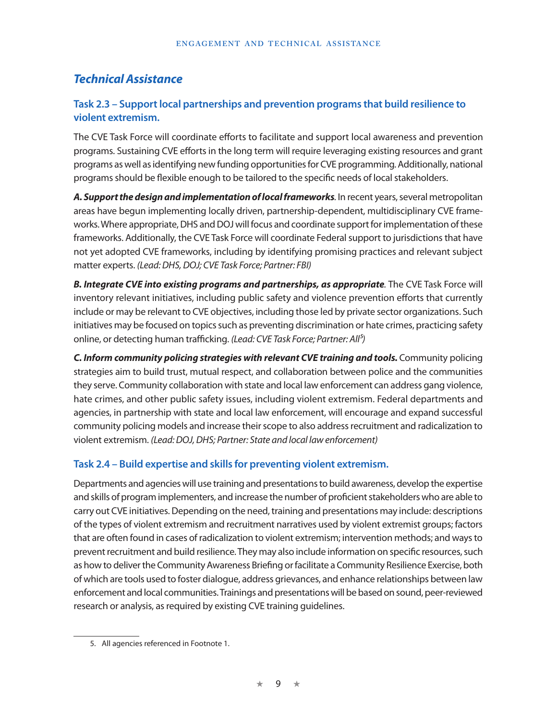## *Technical Assistance*

## **Task 2.3 – Support local partnerships and prevention programs that build resilience to violent extremism.**

The CVE Task Force will coordinate efforts to facilitate and support local awareness and prevention programs. Sustaining CVE efforts in the long term will require leveraging existing resources and grant programs as well as identifying new funding opportunities for CVE programming. Additionally, national programs should be flexible enough to be tailored to the specific needs of local stakeholders.

*A. Support the design and implementation of local frameworks.* In recent years, several metropolitan areas have begun implementing locally driven, partnership-dependent, multidisciplinary CVE frameworks. Where appropriate, DHS and DOJ will focus and coordinate support for implementation of these frameworks. Additionally, the CVE Task Force will coordinate Federal support to jurisdictions that have not yet adopted CVE frameworks, including by identifying promising practices and relevant subject matter experts. *(Lead: DHS, DOJ; CVE Task Force; Partner: FBI)*

*B. Integrate CVE into existing programs and partnerships, as appropriate.* The CVE Task Force will inventory relevant initiatives, including public safety and violence prevention efforts that currently include or may be relevant to CVE objectives, including those led by private sector organizations. Such initiatives may be focused on topics such as preventing discrimination or hate crimes, practicing safety online, or detecting human trafficking. *(Lead: CVE Task Force; Partner: All5)*

**C. Inform community policing strategies with relevant CVE training and tools.** Community policing strategies aim to build trust, mutual respect, and collaboration between police and the communities they serve. Community collaboration with state and local law enforcement can address gang violence, hate crimes, and other public safety issues, including violent extremism. Federal departments and agencies, in partnership with state and local law enforcement, will encourage and expand successful community policing models and increase their scope to also address recruitment and radicalization to violent extremism. *(Lead: DOJ, DHS; Partner: State and local law enforcement)*

## **Task 2.4 – Build expertise and skills for preventing violent extremism.**

Departments and agencies will use training and presentations to build awareness, develop the expertise and skills of program implementers, and increase the number of proficient stakeholders who are able to carry out CVE initiatives. Depending on the need, training and presentations may include: descriptions of the types of violent extremism and recruitment narratives used by violent extremist groups; factors that are often found in cases of radicalization to violent extremism; intervention methods; and ways to prevent recruitment and build resilience. They may also include information on specific resources, such as how to deliver the Community Awareness Briefing or facilitate a Community Resilience Exercise, both of which are tools used to foster dialogue, address grievances, and enhance relationships between law enforcement and local communities. Trainings and presentations will be based on sound, peer-reviewed research or analysis, as required by existing CVE training guidelines.

<sup>5.</sup> All agencies referenced in Footnote 1.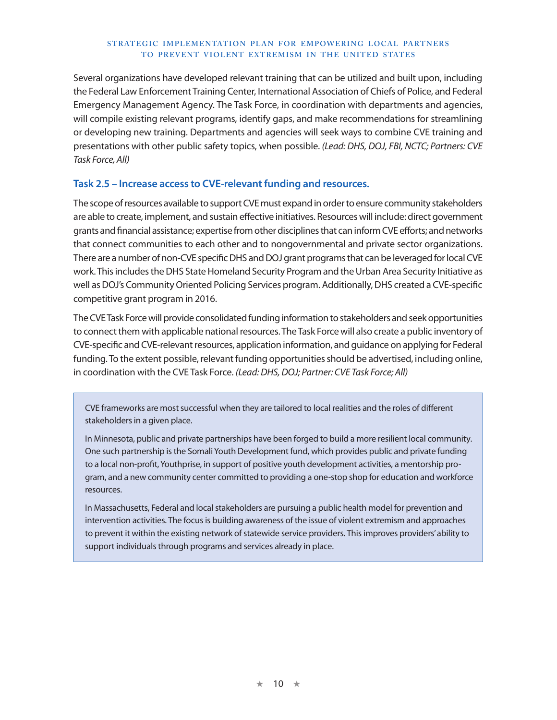Several organizations have developed relevant training that can be utilized and built upon, including the Federal Law Enforcement Training Center, International Association of Chiefs of Police, and Federal Emergency Management Agency. The Task Force, in coordination with departments and agencies, will compile existing relevant programs, identify gaps, and make recommendations for streamlining or developing new training. Departments and agencies will seek ways to combine CVE training and presentations with other public safety topics, when possible. *(Lead: DHS, DOJ, FBI, NCTC; Partners: CVE Task Force, All)* 

#### **Task 2.5 – Increase access to CVE-relevant funding and resources.**

The scope of resources available to support CVE must expand in order to ensure community stakeholders are able to create, implement, and sustain effective initiatives. Resources will include: direct government grants and financial assistance; expertise from other disciplines that can inform CVE efforts; and networks that connect communities to each other and to nongovernmental and private sector organizations. There are a number of non-CVE specific DHS and DOJ grant programs that can be leveraged for local CVE work. This includes the DHS State Homeland Security Program and the Urban Area Security Initiative as well as DOJ's Community Oriented Policing Services program. Additionally, DHS created a CVE-specific competitive grant program in 2016.

The CVE Task Force will provide consolidated funding information to stakeholders and seek opportunities to connect them with applicable national resources. The Task Force will also create a public inventory of CVE-specific and CVE-relevant resources, application information, and guidance on applying for Federal funding. To the extent possible, relevant funding opportunities should be advertised, including online, in coordination with the CVE Task Force. *(Lead: DHS, DOJ; Partner: CVE Task Force; All)*

CVE frameworks are most successful when they are tailored to local realities and the roles of different stakeholders in a given place.

In Minnesota, public and private partnerships have been forged to build a more resilient local community. One such partnership is the Somali Youth Development fund, which provides public and private funding to a local non-profit, Youthprise, in support of positive youth development activities, a mentorship program, and a new community center committed to providing a one-stop shop for education and workforce resources.

In Massachusetts, Federal and local stakeholders are pursuing a public health model for prevention and intervention activities. The focus is building awareness of the issue of violent extremism and approaches to prevent it within the existing network of statewide service providers. This improves providers' ability to support individuals through programs and services already in place.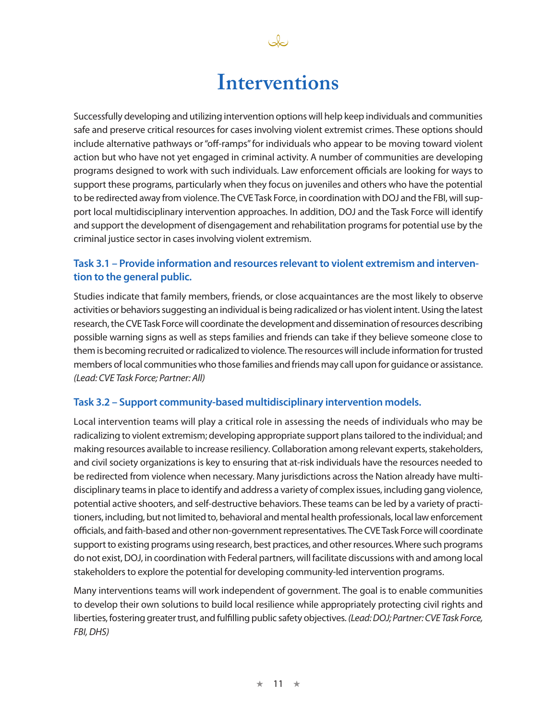## **Interventions**

Ja

Successfully developing and utilizing intervention options will help keep individuals and communities safe and preserve critical resources for cases involving violent extremist crimes. These options should include alternative pathways or "off-ramps" for individuals who appear to be moving toward violent action but who have not yet engaged in criminal activity. A number of communities are developing programs designed to work with such individuals. Law enforcement officials are looking for ways to support these programs, particularly when they focus on juveniles and others who have the potential to be redirected away from violence. The CVE Task Force, in coordination with DOJ and the FBI, will support local multidisciplinary intervention approaches. In addition, DOJ and the Task Force will identify and support the development of disengagement and rehabilitation programs for potential use by the criminal justice sector in cases involving violent extremism.

## **Task 3.1 – Provide information and resources relevant to violent extremism and intervention to the general public.**

Studies indicate that family members, friends, or close acquaintances are the most likely to observe activities or behaviors suggesting an individual is being radicalized or has violent intent. Using the latest research, the CVE Task Force will coordinate the development and dissemination of resources describing possible warning signs as well as steps families and friends can take if they believe someone close to them is becoming recruited or radicalized to violence. The resources will include information for trusted members of local communities who those families and friends may call upon for guidance or assistance. *(Lead: CVE Task Force; Partner: All)*

### **Task 3.2 – Support community-based multidisciplinary intervention models.**

Local intervention teams will play a critical role in assessing the needs of individuals who may be radicalizing to violent extremism; developing appropriate support plans tailored to the individual; and making resources available to increase resiliency. Collaboration among relevant experts, stakeholders, and civil society organizations is key to ensuring that at-risk individuals have the resources needed to be redirected from violence when necessary. Many jurisdictions across the Nation already have multidisciplinary teams in place to identify and address a variety of complex issues, including gang violence, potential active shooters, and self-destructive behaviors. These teams can be led by a variety of practitioners, including, but not limited to, behavioral and mental health professionals, local law enforcement officials, and faith-based and other non-government representatives. The CVE Task Force will coordinate support to existing programs using research, best practices, and other resources. Where such programs do not exist, DOJ, in coordination with Federal partners, will facilitate discussions with and among local stakeholders to explore the potential for developing community-led intervention programs.

Many interventions teams will work independent of government. The goal is to enable communities to develop their own solutions to build local resilience while appropriately protecting civil rights and liberties, fostering greater trust, and fulfilling public safety objectives. *(Lead: DOJ; Partner: CVE Task Force, FBI, DHS)*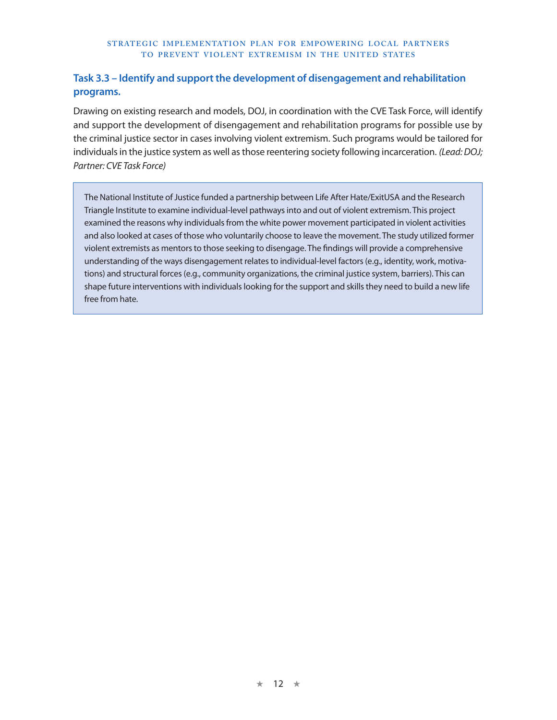## **Task 3.3 – Identify and support the development of disengagement and rehabilitation programs.**

Drawing on existing research and models, DOJ, in coordination with the CVE Task Force, will identify and support the development of disengagement and rehabilitation programs for possible use by the criminal justice sector in cases involving violent extremism. Such programs would be tailored for individuals in the justice system as well as those reentering society following incarceration. *(Lead: DOJ; Partner: CVE Task Force)*

The National Institute of Justice funded a partnership between Life After Hate/ExitUSA and the Research Triangle Institute to examine individual-level pathways into and out of violent extremism. This project examined the reasons why individuals from the white power movement participated in violent activities and also looked at cases of those who voluntarily choose to leave the movement. The study utilized former violent extremists as mentors to those seeking to disengage. The findings will provide a comprehensive understanding of the ways disengagement relates to individual-level factors (e.g., identity, work, motivations) and structural forces (e.g., community organizations, the criminal justice system, barriers). This can shape future interventions with individuals looking for the support and skills they need to build a new life free from hate.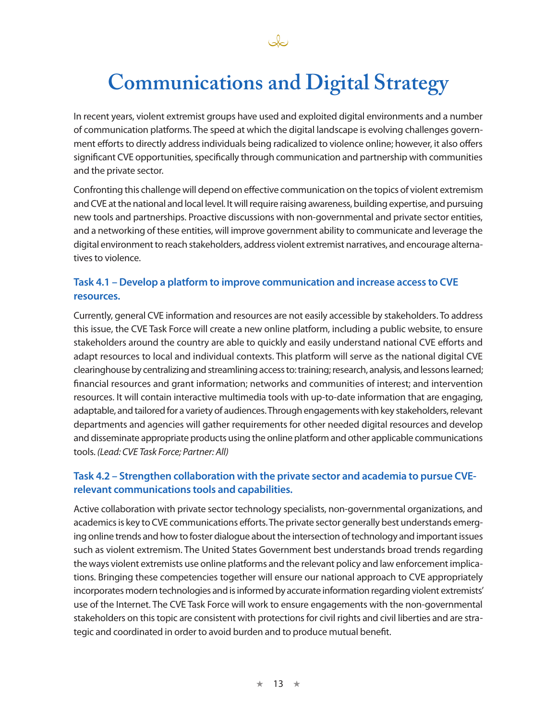

## **Communications and Digital Strategy**

In recent years, violent extremist groups have used and exploited digital environments and a number of communication platforms. The speed at which the digital landscape is evolving challenges government efforts to directly address individuals being radicalized to violence online; however, it also offers significant CVE opportunities, specifically through communication and partnership with communities and the private sector.

Confronting this challenge will depend on effective communication on the topics of violent extremism and CVE at the national and local level. It will require raising awareness, building expertise, and pursuing new tools and partnerships. Proactive discussions with non-governmental and private sector entities, and a networking of these entities, will improve government ability to communicate and leverage the digital environment to reach stakeholders, address violent extremist narratives, and encourage alternatives to violence.

## **Task 4.1 – Develop a platform to improve communication and increase access to CVE resources.**

Currently, general CVE information and resources are not easily accessible by stakeholders. To address this issue, the CVE Task Force will create a new online platform, including a public website, to ensure stakeholders around the country are able to quickly and easily understand national CVE efforts and adapt resources to local and individual contexts. This platform will serve as the national digital CVE clearinghouse by centralizing and streamlining access to: training; research, analysis, and lessons learned; financial resources and grant information; networks and communities of interest; and intervention resources. It will contain interactive multimedia tools with up-to-date information that are engaging, adaptable, and tailored for a variety of audiences. Through engagements with key stakeholders, relevant departments and agencies will gather requirements for other needed digital resources and develop and disseminate appropriate products using the online platform and other applicable communications tools. *(Lead: CVE Task Force; Partner: All)*

## **Task 4.2 – Strengthen collaboration with the private sector and academia to pursue CVErelevant communications tools and capabilities.**

Active collaboration with private sector technology specialists, non-governmental organizations, and academics is key to CVE communications efforts. The private sector generally best understands emerging online trends and how to foster dialogue about the intersection of technology and important issues such as violent extremism. The United States Government best understands broad trends regarding the ways violent extremists use online platforms and the relevant policy and law enforcement implications. Bringing these competencies together will ensure our national approach to CVE appropriately incorporates modern technologies and is informed by accurate information regarding violent extremists' use of the Internet. The CVE Task Force will work to ensure engagements with the non-governmental stakeholders on this topic are consistent with protections for civil rights and civil liberties and are strategic and coordinated in order to avoid burden and to produce mutual benefit.